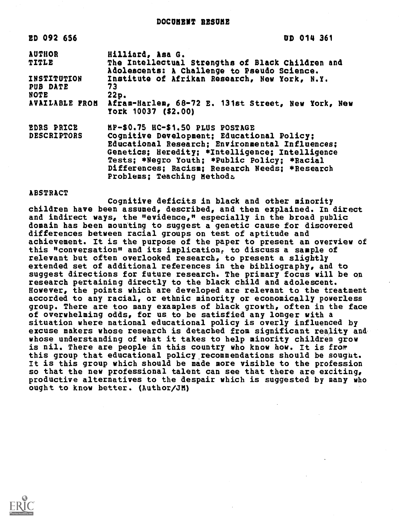| UD 014 361                                                                                      |
|-------------------------------------------------------------------------------------------------|
| Hilliard, Asa G.                                                                                |
| The Intellectual Strengths of Black Children and<br>Adolescents: A Challenge to Pseudo Science. |
| Institute of Afrikan Research, New York, N.Y.                                                   |
| 73                                                                                              |
| 22p.                                                                                            |
| Afram-Harlem, 68-72 E. 131st Street, New York, New<br>York 10037 (\$2.00)                       |
| MF-\$0.75 HC-\$1.50 PLUS POSTAGE                                                                |
| Cognitive Development; Educational Policy;                                                      |
| Educational Research; Environmental Influences;                                                 |
| Genetics; Heredity; *Intelligence; Intelligence                                                 |
| Tests; *Negro Youth; *Public Policy; *Racial                                                    |
| Differences; Racism; Research Needs; *Research                                                  |
| Problems: Teaching Methods                                                                      |
|                                                                                                 |

#### ABSTRACT

Cognitive deficits in black and other minority children have been assumed, described, and then explained. In direct and indirect ways, the "evidence," especially in the broad public domain has been mounting to suggest a genetic cause for discovered differences between racial groups on test of aptitude and achievement. It is the purpose of the paper to present an overview of this "conversation" and its implication, to discuss a sample of relevant but often overlooked research, to present a slightly extended set of additional references in the bibliography, and to suggest directions for future research. The primary focus will be on research pertaining directly to the black child and adolescent. However, the points which are developed are relevant to the treatment accorded to any racial, or ethnic minority or economically powerless group. There are too many examples of black growth, often in the face of overwhelming odds, for us, to be satisfied any longer with a situation where national educational policy is overly influenced by excuse makers whose research is detached from significant reality and whose understanding of what it takes to help minority children grow is nil. There are people in this country who know how. It is from this group that educational policy recommendations should be sought. It is this group which should be made more visible to the profession so that the new professional talent can see that there are exciting, productive alternatives to the despair which is suggested by many who ought to know better. (Author/JM)

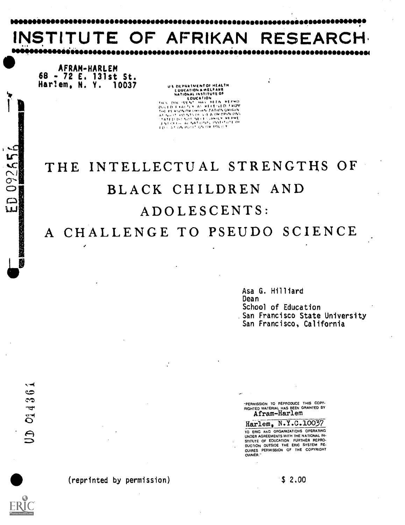**NSTITUTE OF AFRIKAN RESEARCI** 

AFRAM-HARLEM 68 - 72 E. 131st St. Harlem, N. Y. 10037

10080888888888888888888888888

**US DEPARTMENTOF HEALTH.**<br> **EDUCATION & WELFARE**<br>
NATIONAL INSTITUTE OF<br>
THESE DOL THET TAN THE REPRO<br>
THESE DOL THE TAN THE REPRO<br>
THESE DOL THESE TAN CHEATER CHINE<br>
THESE DOL TO THE REPRODUCED THE REPRODUCED AT A ATTOLO

# THE INTELLECTUAL STRENGTHS OF BLACK CHILDREN AND ADOLESCENTS: A CHALLENGE TO PSEUDO SCIENCE

Asa G. Hilliard Dean School of Education San Francisco State University San Francisco, California

............**.....** 

"PERMISSION TO REPRODUCE THIS COPY-RIGHTED MATERIAL HAS BEEN GRANTED BY Afram-Harlem

Harlem, N.Y.C.10037 TO ERIC AND ORGANIZATIONS OPERATING UNDER AGREEMENTS WITH THE NATIONAL IN-<br>STITUTE OF EDUCATION. FURTHER REPRO-DUCTION OUTSIDE THE ERIC SYSTEM RE-QUIRES PERMISSION OF THE COPYRIGHT OWNER.

## $$2.00$

∾⊣

 $38541$ 

(reprinted by permission)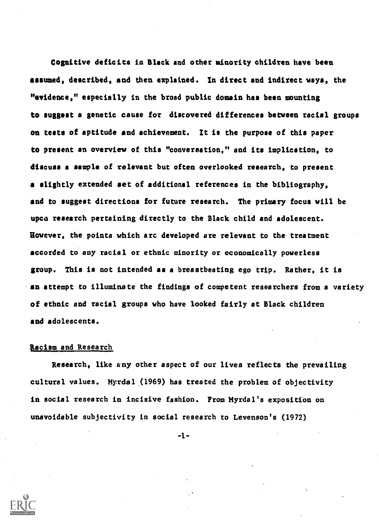Cognitive deficits in Black and other minority children have been assumed, described, and then explained. In direct and indirect ways, the "evidence," especially in the broad public domain has been mounting to suggest a genetic cause for discovered differences between racial groups on tests of aptitude and achievement. It is the purpose of this paper to present an overview of this "conversation," and its implication, to discuss a sample of relevant but often overlooked research, to present a slightly extended set of additional references in the bibliography, and to suggest directions for future research. The primary focus will be upon research pertaining directly to the Black child and adolescent. However, the points which arc developed are relevant to the treatment accorded to any racial or ethnic minority or economically powerless group. This is not intended as a breastbeating ego trip. Rather, it is an attempt to illuminate the findings of competent researchers from a variety of ethnic and racial groups who have looked fairly at Black children and adolescents.

#### Racism and Research

Research, like any other aspect of our lives reflects the prevailing cultural values. Myrdal (1969) has treated the problem of objectivity in social research in incisive fashion. From Myrdal's exposition on unavoidable subjectivity in social research to Levenson's (1972)

 $-1-$ 

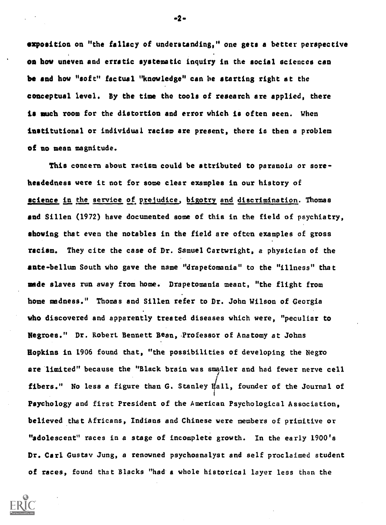exposition on "the fallacy of understanding," one gets a better perspective on how uneven and erratic systematic inquiry in the social sciences can be and how "soft" factual "knowledge" can he starting right at the conceptual level. By the time the tools of research are applied, there is much room for the distortion and error which is often seen. When institutional or individual racism are present, there is then a problem of no mean magnitude.

This concern about racism could be attributed to paranoia or sorehesdedness were it not for some clear examples in our history of science in the service of prejudice, bigotry and discrimination. Thomas and Sillen (1972) have documented some of this in the field of psychiatry, showing that even the notables in the field are often examples of gross racism. They cite the case of Dr. Samuel Cartwright, a physician of the ante-bellum South who gave the name "drapetomania" to the "illness" that made slaves run away from home. Drapetomania meant, "the flight from home madness." Thomas and Sillen refer to Dr. John Wilson of Georgia who discovered and apparently treated diseases which were, "peculiar to Negroes." Dr. Robert Bennett Bean, lrofessor of Anatomy at Johns Hopkins in 1906 found that, "the possibilities of developing the Negro are limited" because the "Black brain was smaller and had fewer nerve cell fibers." No less a figure than  $G$ . Stanley  $H$ all, founder of the Journal of Psychology and first President of the American Psychological Association, believed that Africans, Indians and Chinese were members of primitive or "adolescent" races in a stage of incomplete growth. In the early 1900's Dr. Carl Gustav Jung, a renowned psychoanalyst and self proclaimed student of races, found that Blacks "had a whole historical layer less than the

-2-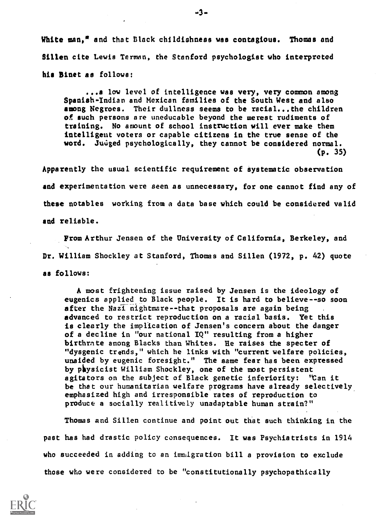White man," and that Black childishness was contagious. Thomas and Sillen cite Lewis Termnn, the Stanford psychologist who interpreted his Sinet as follows:

...a low level of intelligence was very, very common among Spanish-Indian and Mexican families of the South West and also among Negroes. Their dullness seems to be racial...the children of such persons are uneducable beyond the merest rudiments of training. No amount of school instruction will ever make them intelligent voters or capable citizens in the true sense of the word. Juiged psychologically, they cannot be considered normal. (p. 35)

Apparently the usual scientific requirement of systematic observation and experimentation were seen as unnecessary, for one cannot find any of these notables working from a data base which could be considered valid and reliable.

From Arthur Jensen of the University of California, Berkeley, and Dr. William Shockley at Stanford, Thomas and Sillen (1972, p. 42) quote as follows:

A most frightening issue raised by Jensen is the ideology of eugenics applied to Black people. It is hard to believe--so soon after the Nazi nightmare--that proposals are again being advanced to restrict reproduction on a racial basis. Yet this is clearly the implication of Jensen's concern about the danger of a decline in "our national IQ" resulting from a higher birthrate among Blacks than Whites. He raises the specter of "dysgenic trends," which he links with "current welfare policies, unaided by eugenic foresight." The same fear has been expressed by physicist William Shockley, one of the most persistent agitators on the subject of Black genetic inferiority: "Can it be that our humanitarian welfare programs have already selectively emphasized high and irresponsible rates of reproduction to produce a socially realitively unadaptable human strain?"

Thomas and Sillen continue and point out that such thinking in the past has had drastic policy consequences. It was Psychiatrists in 1914 who succeeded in adding to an immigration bill a provision to exclude those who were considered to be "constitutionally psychopathically



.3.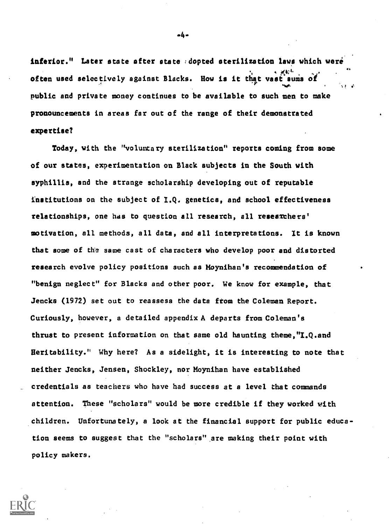inferior." Later state after state :dopted sterilization laws which were often used selectively against Blacks. How is it that vast sums of "P" NAMES AND A NAMES OF STREET public and private money continues to be available to such men to make pronouncements in areas far out of the range of their demonstrated expertise?

Today, with the "voluntary sterilization" reports coming from some of our states, experimentation on Black subjects in the South with syphillia, and the strange scholarship developing out of reputable institutions on the subject of I.Q. genetics, and school effectiveness relationships, one has to question all research, all reseaxthers' motivation, all methods, all data, and all interpretations. It is known that some of the same cast of characters who develop poor and distorted research evolve policy positions such as Moynihan's recommendation of "benign neglect" for Blacks and other poor. We know for example, that Jencks (1972) set out to reassess the data from the Coleman Report. Curiously, however, a detailed appendix A departs from Coleman's thrust to present information on that same old haunting theme,"I.Q.and Heritability." Why here? As a sidelight, it is interesting to note that neither Jencks, Jensen, Shockley, nor Moynihan have established credentials as teachers who have had success at a level that commands attention. These "scholars" would be more credible if they worked with children. Unfortunately, a look at the financial support for public education seems to suggest that the "scholars" are making their point with policy makers.

-4-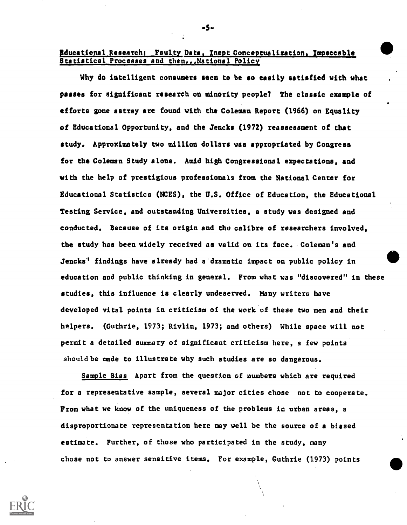# Educational Resesrohl Faulty Data, Inept Conceptualization. Impeccable Statistical Processes and then...National Policy

Why do intelligent consumers seem to be so easily satisfied with what passes for significant research on minority people? The classic example of efforts gone astray are found with the Coleman Report (1966) on Equality of Educational Opportunity, and the Jencks (1972) reassessment of that study. Approximately two million dollars was appropriated by Congress for the Coleman Study alone. Amid high Congressional expectations, and with the help of prestigious professionals from the National Center for Educational Statistics (NCES), the U.S. Office of Education, the Educational Testing Service, and outstanding Universities, a study was designed and conducted. Because of its origin and the calibre of researchers involved, the study has been widely received as valid on its face. Coleman's and Jencks<sup>'</sup> findings have already had a dramatic impact on public policy in education and public thinking in general. From what was "discovered" in these studies, this influence is clearly undeserved. Many writers have developed vital points in criticism of the work of these two men and their helpers. (Guthrie, 1973; Rivlin, 1973; and others) While space will not permit a detailed summary of significant criticism here, a few points should be made to illustrate why such studies are so dangerous.

Sample Bias Apart from the question of numbers which are required for a representative sample, several major cities chose not to cooperate. From what we know of the uniqueness of the problems in urban areas, a disproportionate representation here may well be the source of a biased estimate. Further, of those who participated in the study, many chose not to answer sensitive items. For example, Guthrie (1973) points



.3.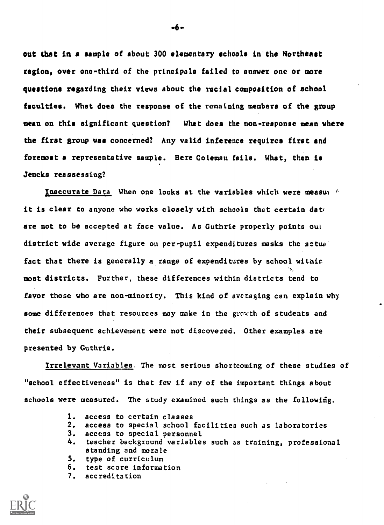out that in a sample of about 300 elementary schools in'the Northeast region, over one-third of the principals failed to answer one or more questions regarding their views about the racial composition of school faculties. What does the response of the remaining members of the group mean on this significant question? What does the non-response mean where the first group was concerned? Any valid inference requires first and foremost a representative sample. Here Coleman fails. What, then is Jencks reassessing?

Inaccurate Data When one looks at the variables which were measuly it is clear to anyone who works closely with schools that certain datr are not to be accepted at face value. As Guthrie properly points out district wide average figure on per-pupil expenditures masks the actual fact that there is generally a range of expenditures by school witnin most districts. Further, these differences within districts tend to favor those who are non-minority. This kind of averaging can explain why some differences that resources may make in the growth of students and their subsequent achievement were not discovered. Other examples are presented by Guthrie.

Irrelevant Variables. The most serious shortcoming of these studies of "school effectiveness" is that few if any of the important things about schools were measured. The study examined such things as the following.

- 1. access to certain classes
- 2. access to special school facilities such as laboratories
- 3. access to special personnel
- 4. teacher background variables such as training, professional standing and morale
- 5. type of curriculum
- 6. test score information
- 7. accreditation

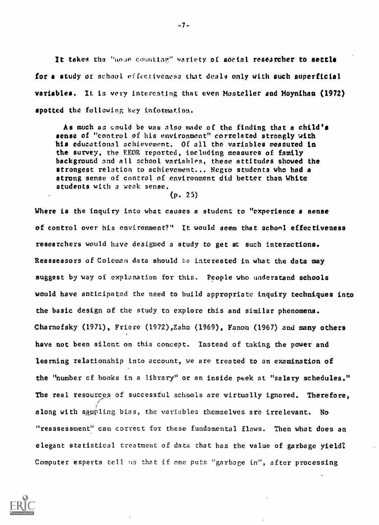It takes the "nose counting" variety of social researcher to settle for a study of school effectiveness that deals only with such superficial variables. It is very interesting that even Hosteller and Moynihan (1972) spotted the following key information.

As much as could be was also made of the finding that a child's sense of "control of his environment" correlated strongly with his educational achievement. Of all the variables meaoured in the survey. the KEOR reported, including measures of family background and all school variables, these attitudes showed the strongest relation to achievement... Negro students who had a strong sense of control of environment did better than White students with a weak sense.

(p. 25)

Where is the inquiry into what causes a student to "experience a sense of control over his environment?" It would seem that school effectiveness researchers would have designed a study to get at such interactions. Reassessors of Coleman data should to interested in what the data may suggest by way of explanation for this. People who understand schools would have anticipated the need to build appropriate inquiry techniques into the basic design of the study to explore this and similar phenomena. Charnofsky (1971), Friere (1972),Zahn (1969), Fanon (1967) and many others have not been silent on this concept. Instead of taking the power and learning relationship into account, we are treated to an examination of the "number of hooks in a library" or an inside peek at "salary schedules." The real resources of successful schools are virtually ignored. Therefore, / along with sampling bias, the variables themselves are irrelevant. No "reassessment" can correct for these fundamental flaws. Then what does an elegant statistical treatment of data that has the value of garbage yield: Computer experts tell us that if one puts "garbage in", after processing



-7-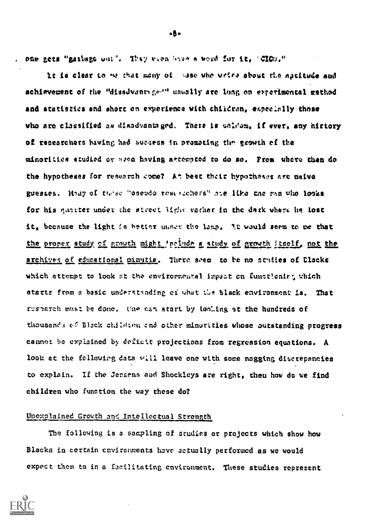one gots "gatbage out". They even have a werd for it, "CIGO."

It is clear to me that many of wase who wethe about the natitude and achievement of the "disadvantinger" usually are long on experimental mathod and statistics and shore on experience with children, especially those who are classified as disadvantaged. There is soldon, if ever, any history of recearchers having had success in promoting the growth of the minorities studied or aven having attempted to do so. From where then do the hypotheses for research come? At best thair hypotheses are naive guesses. Hany of these "osendo reservators" are like the ean who looks for his number under the street light varior in the dark where he lost it, because the light is better under the lamp. It would seem to me that the proper study of growth might 'neight a study of growth itself, not the archives of educational minutis. There seem to be no atudies of Dlacks which attempt to look at the environmental impact on functioning which starts from a basic understanding of what the Black environment is. That restarch must be done. One can start by tooling at the hundreds of thousands of Black children and other minorities whose outstanding progress cannot be explained by deficit projections from regression equations. A look at the following data will leave one with some nagging discrepancies to explain. If the Jensens and Shockleys are right, then how do we find children who function the way these do?

# Unexplained Growth and Intellectual Strength

The following is a sampling of studies or projects which show how Blacks in certain environments have actually performed as we would expect them to in a facilitating environment. These studies represent



aßa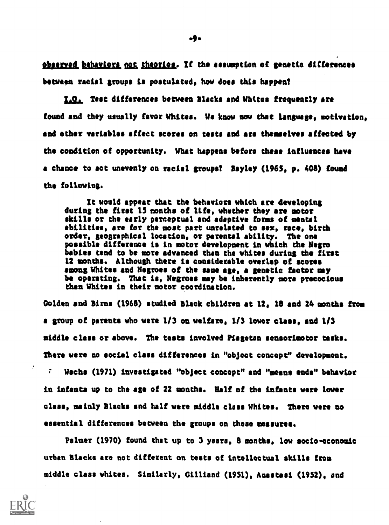observed behaviors not theories. If the assumption of genetic differences between racial groups is postulated, how does this happen?

1016 Test differences between Blacks and Whites frequently are found and they usually favor Whites. We know now that language, motivation, and other variables affect scores on tests and are themselves affected by the condition of opportunity. What happens before these influences have a chance to act unevenly on racial groups? Sayley (1965, p. 408) found the following.

It would appear that the behaviors which are developing during the first 15 months of life, whether they ars motor skills or the early perceptual and adaptive forms of mental abilities, are for the most part unrelated to sex, race, birth order, geographical Location, or parental ability. The one possible difference is in motor development in which the Negro babies tend to be more advanced than the whites during the first 12 months. Although there is considerable overlap of scores among whites and Negroes of the same age, a genetic factor may be operating. That is, Negroes may be inherently more precocious than Whites in their motor coordination.

Golden and Birns (1968) studied Black children at 12, 18 and 24 months from a group of parents who were 1/3 on welfare, 1/3 lower class, and 1/3 middle class or above. The teats involved Pisgetan sensorimotor tasks. There were no social class differences in "object concept" development.

 $\frac{1}{2}$  . Wachs (1971) investigated "object concept" and "means ends" behavior in infants up to the age of 22 months. Half of the infants were lower class, mainly Blacks and half were middle class Whites. There were no essential differences between the groups on these measures.

Palmer (1970) found that up to 3 years, 8 months, low socio- economic urban Blacks are not different on tests of intellectual skills from middle class whites. Similarly, Gilliand (1951), Anastasi (1952), and

.9a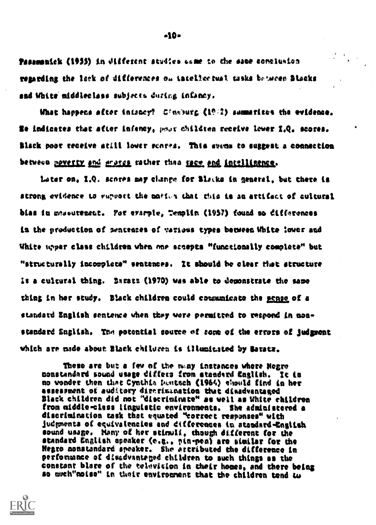Pasamanick (1955) in different studies same to the same conclusion remarding the look of differences on intellectual tasks between Blacks. and White middleclass subjects during infancy.

What happens after infancy? Cinsburg (19/2) summarizes the evidence. He indicates that after infancy, pour children receive lower 1,Q, scores, Slack poor receive still lower scores. This swens to suggest a connection between poverty and grotes rather than <u>race and intelligence</u>.

Later on, I.Q. scores may clange for Blacks in general, but there is strong evidence to support the mation that this is an artifact of cultural bias in mussurement. Por example, Templin (1957) found no differences in the production of sententes of various types between White lower and White upper class children when one accepts "functionally complete" but "structurally incomplete" sentences. It should be clear that structure it a cultural thing. Baratz (1970) was able to demonstrate the same thing in her study. Black children could communicate the sense of a standard English sentence when they were permitted to respond in nonstandard English. The potential source of some of the errors of judgment which are made about Black children is illuminated by Baratz.

These are but a few of the miny instances where Negro nonstandard sound usage differs from standard Caglish. It is no wonder then that Cynthia Duntsch (1964) should find in her assessment of auditory discrimination that disadvantaged Black children did not "discriminate" as well as White children from middle-class linguistic environments. She administered a discrimination task that equated "correct responses" with judgments of equivalencies and differences in atandard-English sound usage. Nany of her stinuli, though different for the standard English speaker (e.g., pin-pea) are similar for the Nearo nonstandard speaker. She artributed the difference in performance of disadvantened children to such things as the constant blare of the television in their homes, and there being so much"noise" in their environment that the children tend to



-10-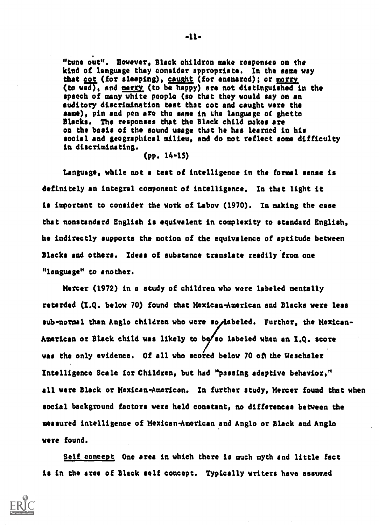"tune out". However, Black children make responses on the kind of language they consider appropriate. In the same way that  $\cot$  (for sleeping),  $\cosh t$  (for ensnared); or marry (to wed), and merry (to be happy) are not distinguished in the speech of many white people (so that they would say on an auditory discrimination test that cot and caught were the same), pin and pen are the same in the language of ghetto Blacks. The responses that the Black child makes are on the basis of the sound usage that he has learned in his social and geographical milieu, and do not reflect some difficulty in discriminating.

### (pp. 14-15)

Language, while not a test of intelligence in the formal sense is definitely an integral component of intelligence. In that light it is important to consider the work of Labov (1970). In making the case that nonstandard English is equivalent in complexity to standard English, he indirectly supports the notion of the equivalence of aptitude between Blacks and others. Ideas of substance translate readily from one "language" to another.

Mercer (1972) in a study of children who were labeled mentally retarded (I.Q. below 70) found that Mexican-American and Blacks were less sub-normal than Anglo children who were so Aabeled. Further, the Mexican-American or Black child was likely to be so labeled when an I.Q. score was the only evidence. Of all who scored below 70 of the Weschsler Intelligence Scale for Children, but had "passing adaptive behavior," all were Black or Mexican-American. In further study, Mercer found that when social background factors were held constant, no differences between the measured intelligence of Mexican-American and Anglo or Black and Anglo were found.

Self concept One area in which there is much myth and little fact is in the area of Black self concept. Typically writers have assumed

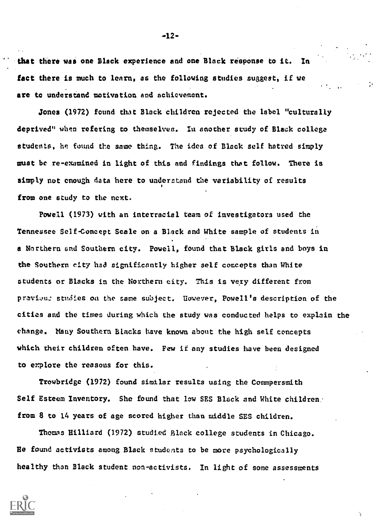that there was one Black experience and one Black response to it. In fact there is much to learn, as the following studies suggest, if we are to understand motivation and achievement.

Jones (1972) found that Black children rejected the label "culturally deprived" when refering to themselves. In another study of Black college students, he found the same thing. The idea of Black self hatred simply must be re-examined in light of this and findings that follow. There is simply not enough data here to understand the variability of results from one study to the next.

Powell (1973) with an interracial team of investigators used the Tennessee Self-Concept Scale on a Black and White sample of students in a Northern and Southern city. Powell, found that Black girls and boys in the Southern city had significantly higher self concepts than White students or Blacks in the Northern city. This is very different from previous studies on the same subject. However, Powell's description of the cities and the times during which the study was conducted helps to explain the change. Many Southern Blacks have known about the high self concepts which their children often have. Few if any studies have been designed to explore the reasons for this.

Trowbridge (1972) found similar results using the Commpersmith Self Esteem Inventory. She found that low SES Black and White children, from 8 to 14 years of age scored higher than middle SES children.

Thomas Hilliard (1972) studied Black college students in Chicago. He found activists among Black students to be more psychologically healthy than Black student non-activists. In light of some assessments



 $-12-$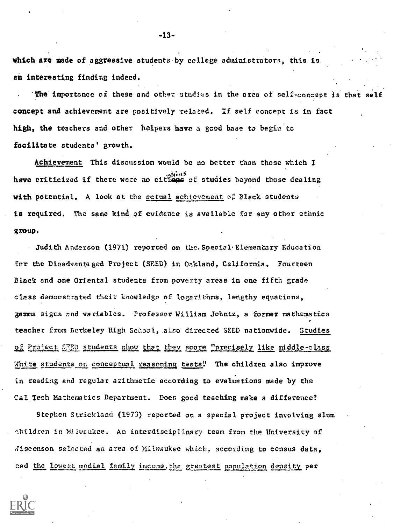which are made of aggressive students by college administrators, this is. an interesting finding indeed.

The importance of these and other studies in the area of self-concept is that self concept and achievement are positively related. If self concept is in fact high, the teachers and other helpers have a good base to begin to facilitate students' growth.

Achievement This discussion would be no better than those which I thins<br>have criticized if there were no citings of studies beyond those dealing with potential. A look at the actual achievement of Black students is required. The same kind of evidence is available for any other ethnic group.

Judith Anderson (1971) reported on the Special Elementary Education for the Disadvantaged Project (SEED) in Oakland, California. Fourteen Black and one Oriental students from poverty areas in one fifth grade class demonstrated their knowledge of logarithms, lengthy equations, gamma signs and variables. Professor William Johntz, a former mathematics teacher frum Berkeley High School, .also directed SEED nationwide. Studies of Project SEED students show that they score "precisely like middle-class White students on conceptual reasoning tests! The children also improve in reading and regular arithmetic according to evaluations made by the Cal Tech Mathematics Department. Does good teaching make a difference?

Stephen Strickland (1973) reported on a special project involving slum ehildren in Milwaukee. An interdisciplinary team from the University of lisconson selected an area\_of Milwaukee which, according to census data, tad the lowest medial family income, the greatest population density per

-13-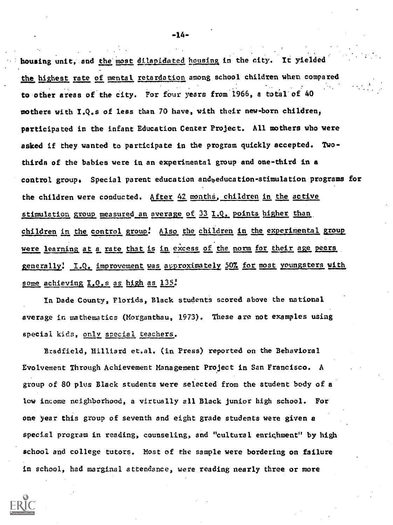housing unit, and the most dilapidated housing in the city. It yielded the highest rate of mental retardation among school children when compared to other areas of the city. For four years from 1966, a total of 40 mothers with I.Q.s of less than 70 have, with their new-born children, participated in the infant Education Center Project. All mothers who were asked if they wanted to participate in the program quickly accepted. Twothirds of the babies were in an experimental group and one-third in a control group. Special parent education an4education-stimulation programs for the children were conducted. After 42 months, children in the active stimulation group measured an average of 33 I.Q. points higher than children in the control group! Also the children in the experimental group, were learning at a rate that is in excess of the norm for their age peers generally! I.Q, improvement was approximately 50% for most youngsters with some achieving  $I, Q$ , s as high as  $135!$ 

In Dade County, Florida, Black students scored above the national average in mathematics (Morganthau, 1973). These are not examples using special kids, only special teachers.

Bradfield, Hilliard et.al. (in Press) reported on the Behavioral Evolvement Through Achievement Management Project in San Francisco. A group of 80 plus Black students were selected from the student body of a low income neighborhood, a virtually all Black junior high school. For one year this group of seventh and eight grade students were given a special program in reading, counseling, and "cultural enrichment" by high school and college tutors. Most of the sample were bordering on failure in school, had marginal attendance, were reading nearly three or more

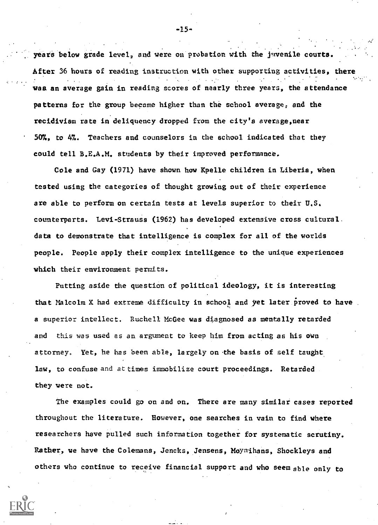years below grade level, and were on probation with the juvenile courts. After 36 hours of reading instruction with other supporting activities, there vaa an average gain in reading scores of nearly three years, the attendance patterns for the group became higher than the school average, and the recidivism rate in deliquency dropped from the city's average, near 50%, to 47.. Teachers and counselors in the school indicated that they could tell B.E.A.M. students by their improved performance.

Cole and Gay (1971) have shown how Rpelle children in Liberia, when tested using the categories of thought growing out of their experience are able to perform on certain tests at levels superior to their U.S. counterparts. Levi-Strauss (1962) has developed extensive cross cultural data to demonstrate that intelligence is complex for all of the worlds people. People apply their complex intelligence to the unique experiences which their environment permits.

Putting aside the question of political ideology, it is interesting that Malcolm X had extreme difficulty in school and yet later proved to have a superior intellect. Ruchell McGee was diagnosed as mentally retarded and this was used as an argument to keep him from acting as his own attorney. Yet, he has been able, largely on the basis of self taught law, to confuse and attimes immobilize court proceedings. Retarded they were not.

The examples could go on and on. There are many similar cases reported throughout the literature. However, one searches in vain to find where researchers have pulled such information together for systematic scrutiny. Rather, we have the Colemans, Jencks, Jensens, MoYmihans, Shockleys and others who continue to receive financial support and who seem able only to

-/5-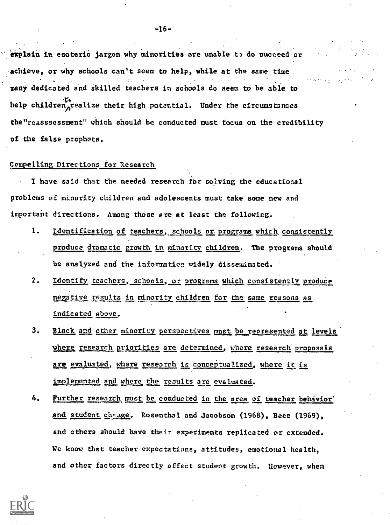explain in esoteric jargon why minorities are unable to do succeed or achieve, or why schools can't seem to help, while at the same time. many dedicated and skilled teachers in schools do seem to be able to help children<sub>A</sub>realize their high potential. Under the circumstances the"reasssessment" which should be conducted must focus on the credibility of the false prophets.

## Compelling Directions for Research

I have said that the needed research for solving the educational problems of minority children and adolescents must take some new and important directions. Among those are at least the following.

- 1. Identification of teachers, schools or. programs which consistently produce dramatic growth in minority children. The programs should be analyzed and the information widely disseminated.
- 2. Identify teachers, schools, or programs which consistently produce negative results in minority children for the same reasons as indicated above.
- 3. Black and other minority perspectives must be represented at levels where research priorities are determined, where research proposals are evaluated, where research is conceptualized, where it is implemented and where the results are evaluated.
- 4. Further research must be conducted in the area of teacher behavior' and student change. Rosenthal and Jacobson (1968), Beez (1969), and others should have their experiments replicated or extended. We know that teacher expectations, attitudes, emotional health, and other factors directly affect student growth. However, when



-16-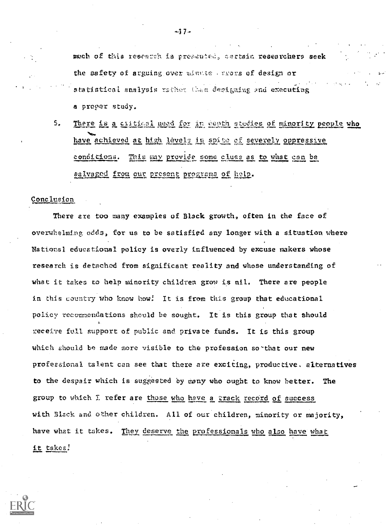much of this research is presented, certain researchers seek the safety of arguing over minute excess of design or statistical analysis mather than decigning and executing a preper study.

S. There is a critical need for in cepth studies of minority people who have achieved at high levels in spite of severely oppressive conditions. This may provide some clues as to what can be salvaged from our present programs of help.

#### Conclusion

There are too many examples of Black growth, often in the face of overwhelming odds, for us to be satisfied any longer with a situation where National educational policy is overly influenced by excuse makers whose research is detached from significant reality and whose understanding of what it takes to help minority children grow is nil. There are people in this country who know how! It is from this group that educational policy recommendations should be sought. It is this group that should receive full support of public and private funds. It is this group which should be made more visible to the profession so that our new professional talent can see that there are exciting, productive, alternatives to the despair which is suggested by many who ought to know better. The group to which I refer are those who have a track record of success with Black and other children. All of our children, minority or majority, have what it takes. They deserve the professionals who also have what it takes!

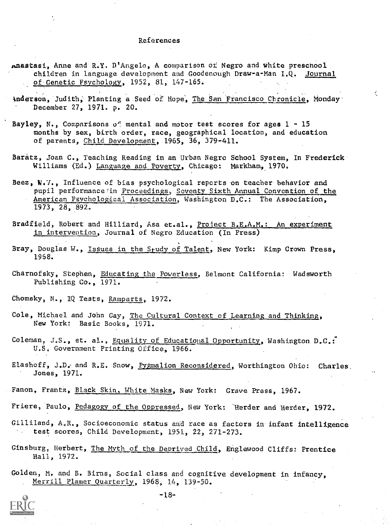#### References

- nnastasi, Anne and R.Y. D'Angelo, A comparison of Negro and white preschool children in language development and Goodenough Draw-a-Man I.Q. Journal of Genetic Psychology, 1952, 81, 147-165.
- Anderson, Judith, Planting a Seed of Hope, The San Francisco Chronicle, Monday. December 27, 1971. p. 20.

. .

÷.

- Bayley, N., Comparisons of mental and motor test scores for ages  $1 15$ months by sex, birth order, race, geographical location, and education of parents, Child Development, 1965, 36, 379-411.
- Baratz, Joan C., Teaching Reading in an Urban Negro School System, In Frederick Williams (Ed.) Language and Poverty, Chicago: Markham, 1970.
- Beez, W.V., Influence of bias psychological reports on teacher behavior and pupil performance in Proceedings, Seventy Sixth Annual Convention of the American Psychological Association, Washington D.C.: The Association, 1973, 28, 892.
- Bradfield, Robert and Hilliard, Asa et.al., Project B.E.A.M.: An experiment in intervention, Journal of Negro Education (In Press)
- Bray, Douglas W., Issues in the Study of Talent, New York: Kimp Crown Press, 1958.
- Charnofsky, Stephen, Educating the Powerless, Belmont California: Wadsworth Publishing Co., 1971.
- Chomsky, N., IQ Tests, Ramparts, 1972.
- Cole, Michael and John Gay, The Cultural Context of Learning and Thinking, New York: Basic Books, 1971.
- Coleman, J.S., et. al., Equality of Educational Opportunity, Washington D.C.: U.S. Government Printing Office, 1966.
- Elashoff, J.D. and R.E. Snow, Pygmalion Reconsidered, Worthington Ohio: Charles. Jones, 1971.
- Fanon, Frantz, Black Skin, White Masks, New York: Grave Press, 1967.
- Friere, Paulo, Pedagogy of the Oppressed, New York: 'Herder and Herder, 1972.
- Gilliland, A.R., Socioeconomic status and race as factors in infant intelligence test scores, Child Development, 1951, 22, 271-273.
- Ginsburg, Herbert, The Myth of the Deprived Child, Englewood Cliffs: Prentice Hall, 1972.
- Golden, M. and B. Birns, Social class and cognitive development in infancy, Merrill Plamer Quarterly, 1968, 14, 139-50.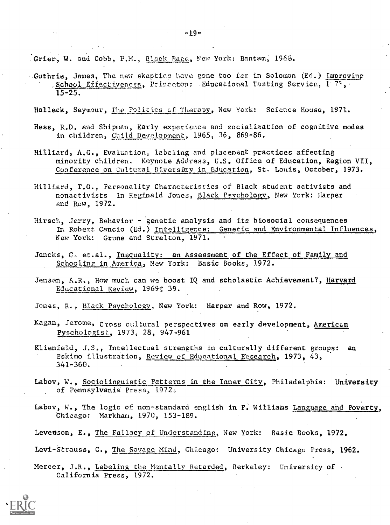.Grier, W. and Cobb, P.M., Black Rage, New York: Bantam, 1968.

Guthrie, James, The new skepties have gone too far in Solomon (Ed.) Improving . School Effectiveness, Princeton; Educational Testing Service, 177, 15-25.

Halleck, Seymour, The Politics of Therapy, New York: Science House, 1971.

- Hess, R.D. and Shipman, Early experience and socialization of cognitive modes in children, Child Development, 1965, 36, 869-86.
- Hilliard, A.G., Evaluation, labeling and placement practices affecting minority children. Keynote Address, U.S. Office of Education, Region VII, Conference on Cultural Diversilry in Education, St. Louis, October, 1973.
- Hilliard, T.O., Personality Characteristics of Black student activists and nonactivists In Reginald Jones, Black Psychology, New York: Harper and Row, 1972.
- Hirsch, Jerry, Behavior genetic analysis and its biosocial consequences In Robert Cancio (Ed.) Intellieence: Genetic and Environmental Influences, New York: Grune and Stralton, 1971.
- Jencks, C. et.al., Inequality: an Assessment of the Effect of Family and Schooling in America, New York: Basic Books, 1972.
- Jensen, A.R., How much can we boost IQ and scholastic Achievement?, Harvard Educational Review, 1969<sup>9</sup> 39.
- Jones, R., Black Psychology, New York: Harper and Row, 1972.
- Kagan, Jerome, Cross cultural perspectives on early development, American Pyschologist, 1973, 28, 947-961
- Klienfeld, J.S., Intellectual strengths in culturally different groups: an Eskimo illustration, Review of Educational Research, 1973, 43, 341-360.
- Labov, W., Sociolinguistic Patterns in the Inner City, Philadelphia: University of Pennsylvania Press, 1972.
- Labov, W., The logic of non-standard english in F. Williams Language and Poverty, Chicago: Markham, 1970, 153-189.
- Leveuson, E., The Fallacy of Understanding, New York: Basic Books, 1972.

Levi-Strauss, C., The Savage Mind, Chicago: University Chicago Press, 1962.

Mercer, J.R., Labeling the Mentally Retarded, Berkeley: University of California Press, 1972.

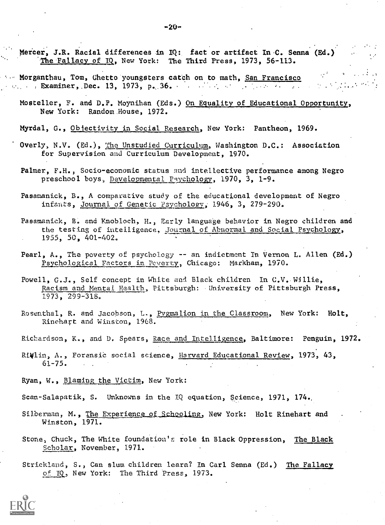- Mercer, J.R. Racial differences in IQ: fact or artifact In C. Senna (Ed.) The Fallacy of IQ, New York: The Third Press, 1973, 56-113.
- Morganthau, Tom, Ghetto youngsters catch on to math, San Francisco , Examiner, Dec. 13, 1973, p. 36. The contract of the state of the state of  $\sim$
- Mosteller, F. and D.P. Moynihan (Eds.) On Equality of Educational Opportunity, New York: Random House, 1972.

Myrdal, G., Objectivity in Social Research, New York: Pantheon, 1969.

- Overly, N.V. (Ed.), The Unstudied Curriculum, Washington D.C.: Association for Supervision and Curriculum Development, 1970.
- Palmer, F.H., Socio-economic status and intellective performance among Negro preschool boys, Developmental Psychology, 1970, 3, 1-9.
- Pasamanick, B., A comparative study of the educational development of Negro infants, Journal of Genetic Psychology, 1946, 3, 279-290.
- Pasamanick, B. and Knobloch, H., Early language behavior in Negro children and the testing of intelligence, journal of Abnormal and Social Psychology, 1955, 50, 401-402.
- Pearl, A., The poverty of psychology -- an indictment In Vernon L. Allen (Ed.) Psychological Factors in Poverty, Chicago: Markham, 1970.
- Powell, G.J., Self concept in White and Black children In C.V. Willie, Racism and Mental Health, Pittsburgh: University of Pittsburgh Press, 1973, 299-318.
- Rosenthal, R. and Jacobson, L., Pygmalion in the Classroom, New York: Holt, Rinehart and Winston, 1968.

Richardson, K., and D. Spears, Race and Intelligence, Baltimore: Penguin, 1972.

- RiVlin, A., Forensic social science, Harvard Educational Review, 1973, 43, 61-75.
- Ryan, W., Blaming the Victim, New York:
- Scan-Salapatik, S. Unknowns in the IQ equation, Science, 1971, 174.,
- Silberman, M., The Experience of Schooling, New York: Holt Rinehart and Winston, 1971.
- Stone, Chuck, The White foundation's role in Black Oppression, The Black Scholar, November, 1971.
- Strickland, S., Can slum children learn? In Carl Senna (Ed.) The Fallacy of IQ, New York: The Third Press, 1973.